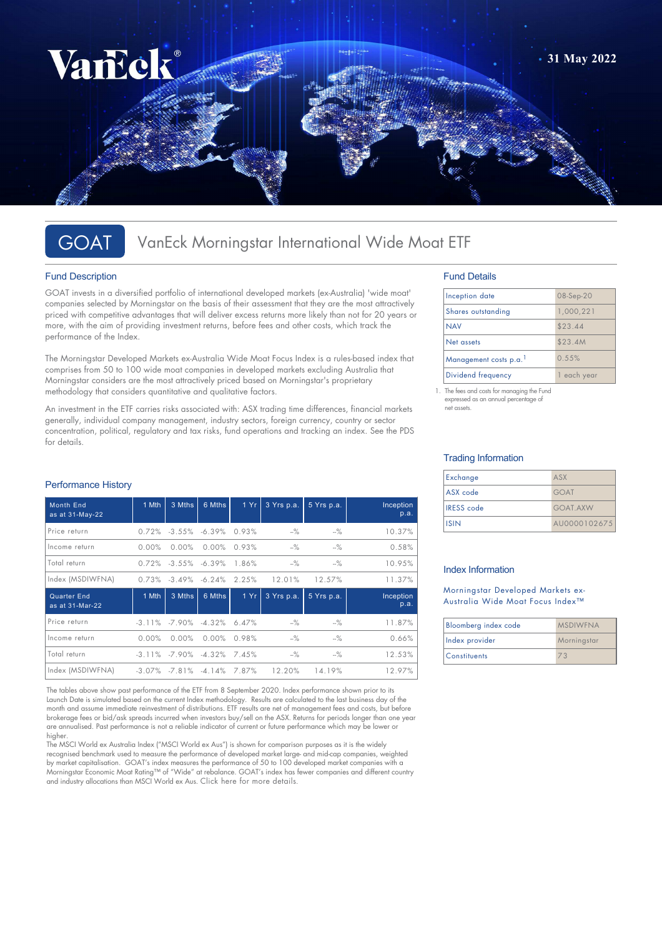

# GOAT VanEck Morningstar International Wide Moat ETF

## Fund Description

GOAT invests in a diversified portfolio of international developed markets (ex-Australia) 'wide moat' companies selected by Morningstar on the basis of their assessment that they are the most attractively priced with competitive advantages that will deliver excess returns more likely than not for 20 years or more, with the aim of providing investment returns, before fees and other costs, which track the performance of the Index.

The Morningstar Developed Markets ex-Australia Wide Moat Focus Index is a rules-based index that comprises from 50 to 100 wide moat companies in developed markets excluding Australia that Morningstar considers are the most attractively priced based on Morningstar's proprietary methodology that considers quantitative and qualitative factors.

An investment in the ETF carries risks associated with: ASX trading time differences, financial markets generally, individual company management, industry sectors, foreign currency, country or sector concentration, political, regulatory and tax risks, fund operations and tracking an index. See the PDS for details.

## Performance History

| <b>Month End</b><br>as at 31-May-22 | 1 Mth     | 3 Mths                       | 6 Mths                              | 1 Yr  | 3 Yrs p.a. | 5 Yrs p.a. | Inception<br>p.a. |
|-------------------------------------|-----------|------------------------------|-------------------------------------|-------|------------|------------|-------------------|
| Price return                        |           | $0.72\%$ $-3.55\%$ $-6.39\%$ |                                     | 0.93% | $-%$       | $-$ %      | 10.37%            |
| Income return                       | $0.00\%$  | $0.00\%$                     | $0.00\%$                            | 0.93% | $-$ %      | $-$ %      | 0.58%             |
| Total return                        |           | $0.72\%$ $-3.55\%$ $-6.39\%$ |                                     | 1.86% | $-$ %      | $-$ %      | 10.95%            |
| Index (MSDIWFNA)                    |           | $0.73\%$ $-3.49\%$ $-6.24\%$ |                                     | 2.25% | 12.01%     | 12.57%     | 11.37%            |
|                                     |           |                              |                                     |       |            |            |                   |
| Quarter End<br>as at 31-Mar-22      | 1 Mth     | 3 Mths                       | 6 Mths                              | 1 Yr  | 3 Yrs p.a. | 5 Yrs p.a. | Inception<br>p.a. |
| Price return                        | $-3.11\%$ | -7.90%                       | $-4.32%$                            | 6.47% | $-%$       | $-$ %      | 11.87%            |
| Income return                       | $0.00\%$  | $0.00\%$                     | $0.00\%$                            | 0.98% | $-$ %      | $-$ %      | 0.66%             |
| Total return                        |           |                              | $-3.11\%$ $-7.90\%$ $-4.32\%$ 7.45% |       | $-$ %      | $-$ %      | 12.53%            |

The tables above show past performance of the ETF from 8 September 2020. Index performance shown prior to its Launch Date is simulated based on the current Index methodology. Results are calculated to the last business day of the month and assume immediate reinvestment of distributions. ETF results are net of management fees and costs, but before brokerage fees or bid/ask spreads incurred when investors buy/sell on the ASX. Returns for periods longer than one year are annualised. Past performance is not a reliable indicator of current or future performance which may be lower or higher.

The MSCI World ex Australia Index ("MSCI World ex Aus") is shown for comparison purposes as it is the widely recognised benchmark used to measure the performance of developed market large- and mid-cap companies, weighted by market capitalisation. GOAT's index measures the performance of 50 to 100 developed market companies with a Morningstar Economic Moat Rating™ of "Wide" at rebalance. GOAT's index has fewer companies and different country and industry allocations than MSCI World ex Aus. [Click here for more details](https://www.vaneck.com.au/etf/equity/goat/index/).

## Fund Details

| Inception date        | 08-Sep-20 |
|-----------------------|-----------|
| Shares outstanding    | 1,000,221 |
| <b>NAV</b>            | \$23.44   |
| Net assets            | \$23.4M   |
| Management costs p.a. | 0.55%     |
| Dividend frequency    | each year |

1. The fees and costs for managing the Fund expressed as an annual percentage of net assets.

### Trading Information

| Exchange          | ASX             |
|-------------------|-----------------|
| ASX code          | <b>GOAT</b>     |
| <b>IRESS</b> code | <b>GOAT AXW</b> |
| <b>ISIN</b>       | AU0000102675    |

## Index Information

Morningstar Developed Markets ex-Australia Wide Moat Focus Index™

| Bloomberg index code | <b>MSDIWFNA</b> |
|----------------------|-----------------|
| Index provider       | Morningstar     |
| <b>Constituents</b>  |                 |